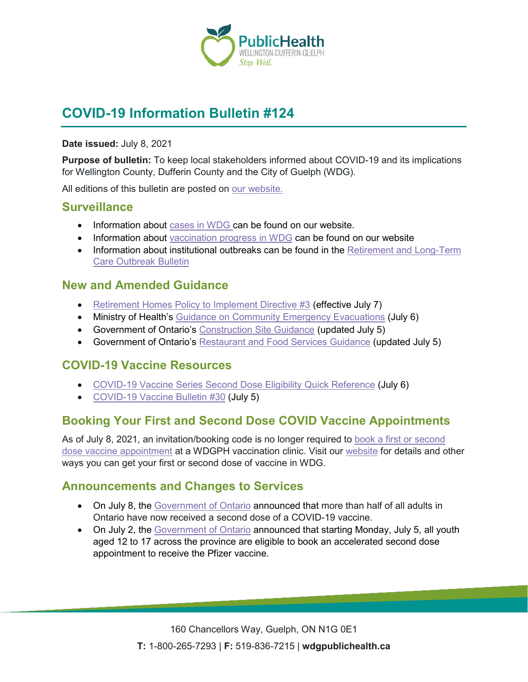

# **COVID-19 Information Bulletin #124**

#### **Date issued:** July 8, 2021

**Purpose of bulletin:** To keep local stakeholders informed about COVID-19 and its implications for Wellington County, Dufferin County and the City of Guelph (WDG).

All editions of this bulletin are posted on [our website.](https://www.wdgpublichealth.ca/your-health/covid-19-information-workplaces-and-living-spaces/community-stakeholder-bulletins)

### **Surveillance**

- Information about [cases in WDG](https://wdgpublichealth.ca/your-health/covid-19-information-public/status-cases-wdg) can be found on our website.
- Information about [vaccination progress](https://www.wdgpublichealth.ca/your-health/covid-19-information-public/covid-19-vaccine-information-public) in WDG can be found on our website
- Information about institutional outbreaks can be found in the Retirement and Long-Term [Care Outbreak Bulletin](https://wdgpublichealth.ca/node/1542)

### **New and Amended Guidance**

- [Retirement Homes Policy to Implement Directive #3](https://www.health.gov.on.ca/en/pro/programs/publichealth/coronavirus/docs/retirement_homes_visiting_policy_guidance.pdf) (effective July 7)
- Ministry of Health's [Guidance on Community Emergency Evacuations](https://www.health.gov.on.ca/en/pro/programs/publichealth/coronavirus/docs/2019_community_emergency_evacuations_guidance.pdf) (July 6)
- Government of Ontario's [Construction Site Guidance](https://www.ontario.ca/page/construction-site-health-and-safety-during-covid-19) (updated July 5)
- Government of Ontario's [Restaurant and Food Services Guidance](https://www.ontario.ca/page/restaurant-and-food-services-health-and-safety-during-covid-19) (updated July 5)

## **COVID-19 Vaccine Resources**

- [COVID-19 Vaccine Series Second Dose Eligibility Quick Reference](https://www.health.gov.on.ca/en/pro/programs/publichealth/coronavirus/docs/vaccine/COVID-19_vaccine_series_quick_ref_chart.pdf) (July 6)
- [COVID-19 Vaccine Bulletin #30](https://www.wdgpublichealth.ca/sites/default/files/wdgph_covid-19_vaccine_bulletin_30_july_5_2021.pdf) (July 5)

## **Booking Your First and Second Dose COVID Vaccine Appointments**

As of July 8, 2021, an invitation/booking code is no longer required to [book a first or second](https://wdgpublichealth.inputhealth.com/ebooking#new)  [dose vaccine appointment](https://wdgpublichealth.inputhealth.com/ebooking#new) at a WDGPH vaccination clinic. Visit our [website](https://www.wdgpublichealth.ca/your-health/covid-19-information-public/covid-19-vaccine-information/ways-get-your-first-or-second) for details and other ways you can get your first or second dose of vaccine in WDG.

## **Announcements and Changes to Services**

- On July 8, the [Government of Ontario](https://news.ontario.ca/en/release/1000486/over-half-of-ontario-adults-now-vaccinated-with-second-dose) announced that more than half of all adults in Ontario have now received a second dose of a COVID-19 vaccine.
- On July 2, the [Government of Ontario](https://news.ontario.ca/en/release/1000453/youth-aged-12-17-across-ontario-eligible-for-accelerated-second-dose) announced that starting Monday, July 5, all youth aged 12 to 17 across the province are eligible to book an accelerated second dose appointment to receive the Pfizer vaccine.